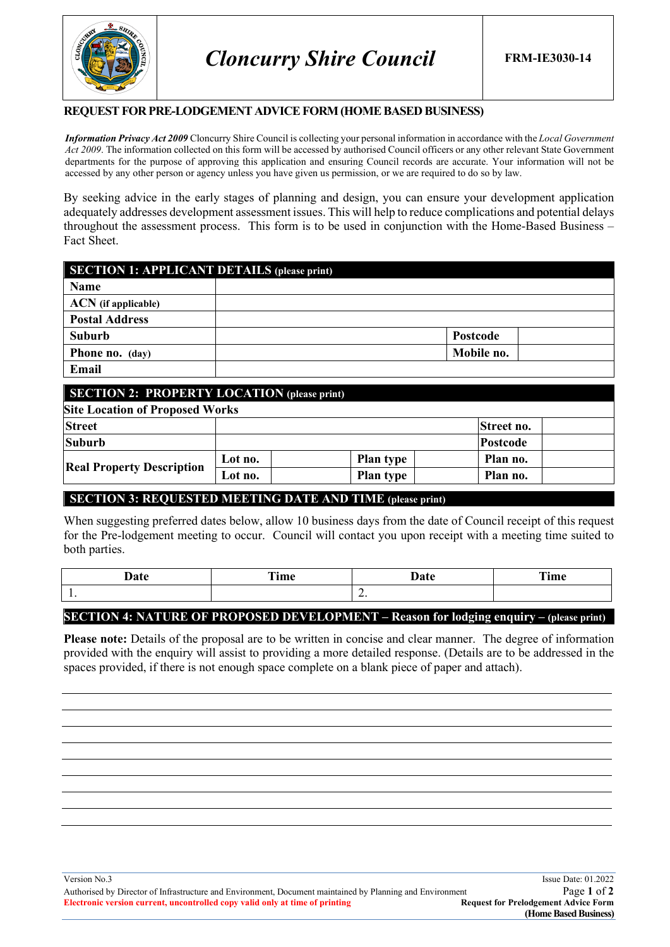

#### **REQUEST FOR PRE-LODGEMENT ADVICE FORM(HOME BASED BUSINESS)**

*Information Privacy Act 2009* Cloncurry Shire Council is collecting your personal information in accordance with the *Local Government Act 2009*. The information collected on this form will be accessed by authorised Council officers or any other relevant State Government departments for the purpose of approving this application and ensuring Council records are accurate. Your information will not be accessed by any other person or agency unless you have given us permission, or we are required to do so by law.

By seeking advice in the early stages of planning and design, you can ensure your development application adequately addresses development assessment issues. This will help to reduce complications and potential delays throughout the assessment process. This form is to be used in conjunction with the Home-Based Business – Fact Sheet.

| <b>SECTION 1: APPLICANT DETAILS (please print)</b> |            |  |
|----------------------------------------------------|------------|--|
| Name                                               |            |  |
| <b>ACN</b> (if applicable)                         |            |  |
| <b>Postal Address</b>                              |            |  |
| <b>Suburb</b>                                      | Postcode   |  |
| <b>Phone no.</b> (day)                             | Mobile no. |  |
| Email                                              |            |  |

### **SECTION 2: PROPERTY LOCATION (please print)**

| <b>Site Location of Proposed Works</b> |                  |                 |  |  |
|----------------------------------------|------------------|-----------------|--|--|
|                                        |                  | Street no.      |  |  |
|                                        |                  | <b>Postcode</b> |  |  |
| Lot no.                                | <b>Plan type</b> | Plan no.        |  |  |
| Lot no.                                | <b>Plan type</b> | Plan no.        |  |  |
|                                        |                  |                 |  |  |

#### **SECTION 3: REQUESTED MEETING DATE AND TIME (please print)**

When suggesting preferred dates below, allow 10 business days from the date of Council receipt of this request for the Pre-lodgement meeting to occur. Council will contact you upon receipt with a meeting time suited to both parties.

| Date | rm*<br>nme<br>__ |                          | Time |
|------|------------------|--------------------------|------|
| . .  |                  | $\overline{\phantom{a}}$ |      |

### **SECTION 4: NATURE OF PROPOSED DEVELOPMENT – Reason for lodging enquiry – (please print)**

**Please note:** Details of the proposal are to be written in concise and clear manner. The degree of information provided with the enquiry will assist to providing a more detailed response. (Details are to be addressed in the spaces provided, if there is not enough space complete on a blank piece of paper and attach).